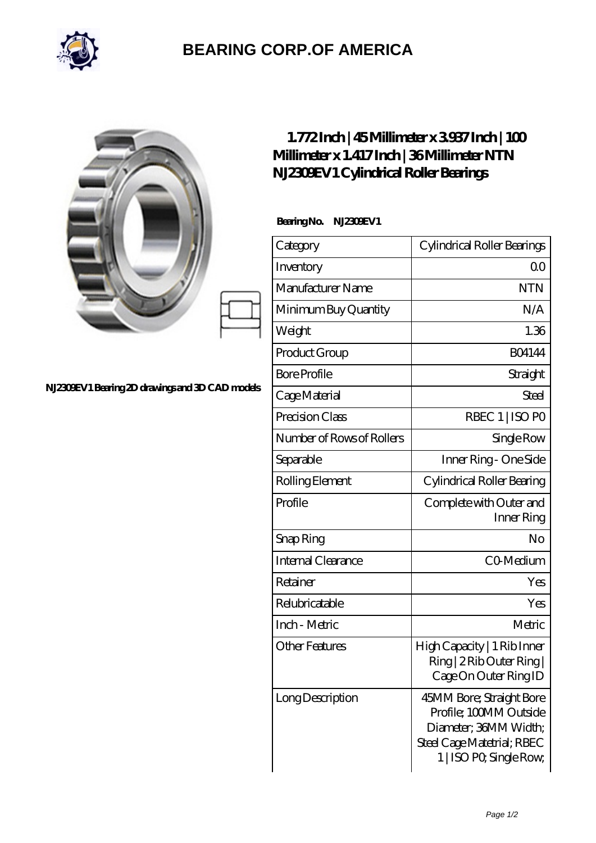

## **[BEARING CORP.OF AMERICA](https://bluemondayreview.com)**

|                                                 | $1.772$ Inch   45Millimeter x 3937Inch   100<br>Millimeter x 1.417Inch   36Millimeter NTN<br>N.IZ30EV1 Cylindrical Roller Bearings |                                                                                                                                      |
|-------------------------------------------------|------------------------------------------------------------------------------------------------------------------------------------|--------------------------------------------------------------------------------------------------------------------------------------|
| N.I230EV1 Bearing 2D drawings and 3D CAD models | BearingNo.<br>N.230EV1                                                                                                             |                                                                                                                                      |
|                                                 | Category                                                                                                                           | Cylindrical Roller Bearings                                                                                                          |
|                                                 | Inventory                                                                                                                          | Q <sub>O</sub>                                                                                                                       |
|                                                 | Manufacturer Name                                                                                                                  | <b>NTN</b>                                                                                                                           |
|                                                 | Minimum Buy Quantity                                                                                                               | N/A                                                                                                                                  |
|                                                 | Weight                                                                                                                             | 1.36                                                                                                                                 |
|                                                 | Product Group                                                                                                                      | <b>BO4144</b>                                                                                                                        |
|                                                 | <b>Bore Profile</b>                                                                                                                | Straight                                                                                                                             |
|                                                 | Cage Material                                                                                                                      | Steel                                                                                                                                |
|                                                 | Precision Class                                                                                                                    | RBEC 1   ISO PO                                                                                                                      |
|                                                 | Number of Rows of Rollers                                                                                                          | Single Row                                                                                                                           |
|                                                 | Separable                                                                                                                          | Inner Ring - One Side                                                                                                                |
|                                                 | Rolling Element                                                                                                                    | Cylindrical Roller Bearing                                                                                                           |
|                                                 | Profile                                                                                                                            | Complete with Outer and<br>Inner Ring                                                                                                |
|                                                 | Snap Ring                                                                                                                          | $\rm No$                                                                                                                             |
|                                                 | Internal Clearance                                                                                                                 | CO <sub>Medium</sub>                                                                                                                 |
|                                                 | Retainer                                                                                                                           | Yes                                                                                                                                  |
|                                                 | Relubricatable                                                                                                                     | Yes                                                                                                                                  |
|                                                 | Inch - Metric                                                                                                                      | Metric                                                                                                                               |
|                                                 | <b>Other Features</b>                                                                                                              | High Capacity   1 Rib Inner<br>Ring   2 Rib Outer Ring  <br>Cage On Outer Ring ID                                                    |
|                                                 | Long Description                                                                                                                   | 45MM Bore; Straight Bore<br>Profile; 100MM Outside<br>Diameter; 36MM Width;<br>Steel Cage Matetrial; RBEC<br>1   ISO PO, Single Row, |